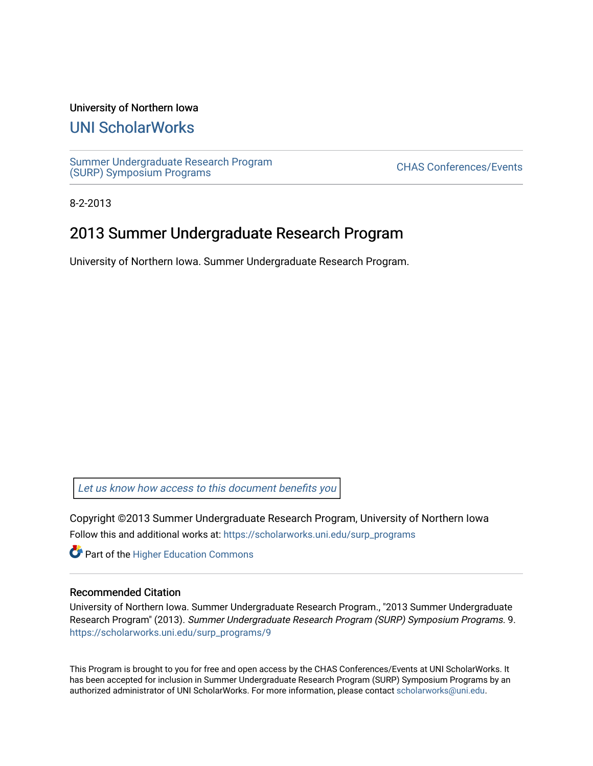#### University of Northern Iowa

#### [UNI ScholarWorks](https://scholarworks.uni.edu/)

[Summer Undergraduate Research Program](https://scholarworks.uni.edu/surp_programs) Surfirier Undergraduate Research Program<br>[\(SURP\) Symposium Programs](https://scholarworks.uni.edu/surp_programs)

8-2-2013

#### 2013 Summer Undergraduate Research Program

University of Northern Iowa. Summer Undergraduate Research Program.

[Let us know how access to this document benefits you](https://scholarworks.uni.edu/feedback_form.html) 

Copyright ©2013 Summer Undergraduate Research Program, University of Northern Iowa Follow this and additional works at: [https://scholarworks.uni.edu/surp\\_programs](https://scholarworks.uni.edu/surp_programs?utm_source=scholarworks.uni.edu%2Fsurp_programs%2F9&utm_medium=PDF&utm_campaign=PDFCoverPages)

**Part of the Higher Education Commons** 

#### Recommended Citation

University of Northern Iowa. Summer Undergraduate Research Program., "2013 Summer Undergraduate Research Program" (2013). Summer Undergraduate Research Program (SURP) Symposium Programs. 9. [https://scholarworks.uni.edu/surp\\_programs/9](https://scholarworks.uni.edu/surp_programs/9?utm_source=scholarworks.uni.edu%2Fsurp_programs%2F9&utm_medium=PDF&utm_campaign=PDFCoverPages)

This Program is brought to you for free and open access by the CHAS Conferences/Events at UNI ScholarWorks. It has been accepted for inclusion in Summer Undergraduate Research Program (SURP) Symposium Programs by an authorized administrator of UNI ScholarWorks. For more information, please contact [scholarworks@uni.edu.](mailto:scholarworks@uni.edu)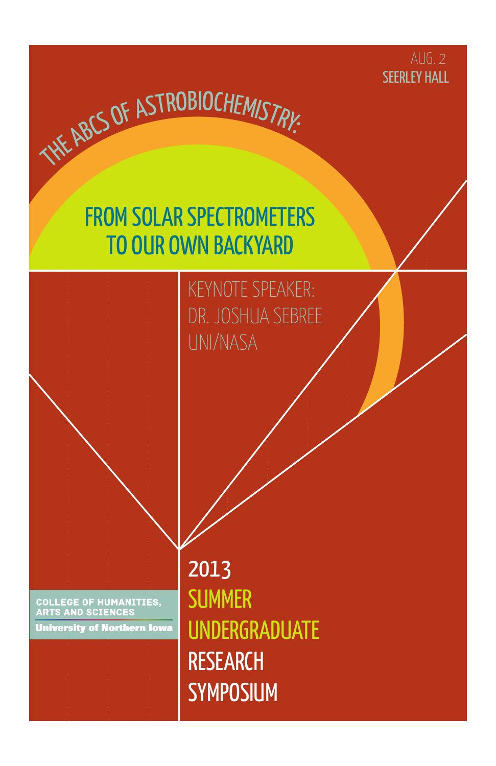

### FROM SOLAR SPECTROMETERS TO OUR OWN BACKYARD

THE ABCS OF ASTROBIOCHEMISTRY:

KEYNOTE SPEAKER: DR. JOSHUA SEBREE UNI/NASA

**COLLEGE OF HUMANITIES,<br>ARTS AND SCIENCES** 

**University of Northern Iowa** 

2013 **SUMMER** UNDERGRADUATE RESEARCH **SYMPOSIUM**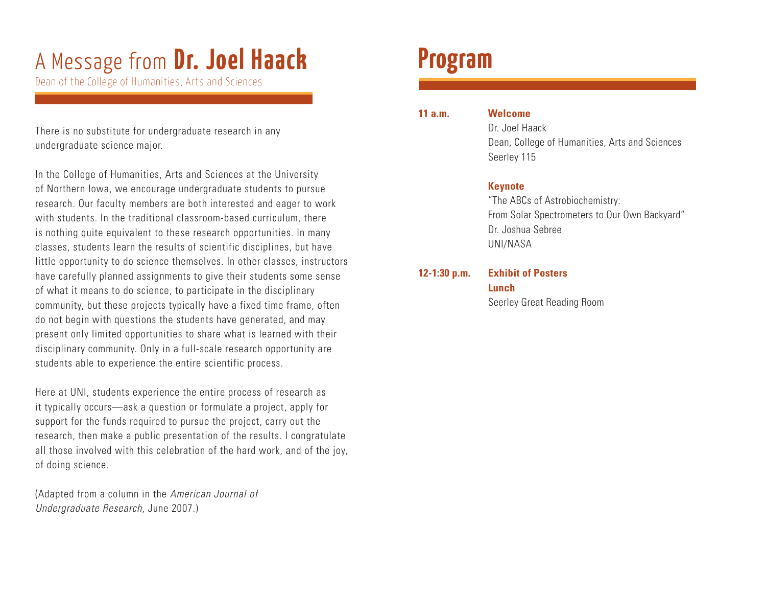# A Message from **Dr. Joel Haack**

Dean of the College of Humanities, Arts and Sciences

There is no substitute for undergraduate research in any undergraduate science major.

In the College of Humanities, Arts and Sciences at the University of Northern Iowa, we encourage undergraduate students to pursue research. Our faculty members are both interested and eager to work with students. In the traditional classroom-based curriculum, there is nothing quite equivalent to these research opportunities. In many classes, students learn the results of scientific disciplines, but have little opportunity to do science themselves. In other classes, instructors have carefully planned assignments to give their students some sense of what it means to do science, to participate in the disciplinary community, but these projects typically have a fixed time frame, often do not begin with questions the students have generated, and may present only limited opportunities to share what is learned with their disciplinary community. Only in a full-scale research opportunity are students able to experience the entire scientific process.

Here at UNI, students experience the entire process of research as it typically occurs—ask a question or formulate a project, apply for support for the funds required to pursue the project, carry out the research, then make a public presentation of the results. I congratulate all those involved with this celebration of the hard work, and of the joy, of doing science.

(Adapted from a column in the *American Journal of Undergraduate Research*, June 2007.)

### **Program**

| 11 a.m. | W |
|---------|---|
|---------|---|

#### *<u>Ielcome</u>*

 Dr. Joel Haack Dean, College of Humanities, Arts and Sciences Seerley 115

#### **Keynote**

 "The ABCs of Astrobiochemistry: From Solar Spectrometers to Our Own Backyard" Dr. Joshua Sebree UNI/NASA

#### **12-1:30 p.m. Exhibit of Posters Lunch**

Seerley Great Reading Room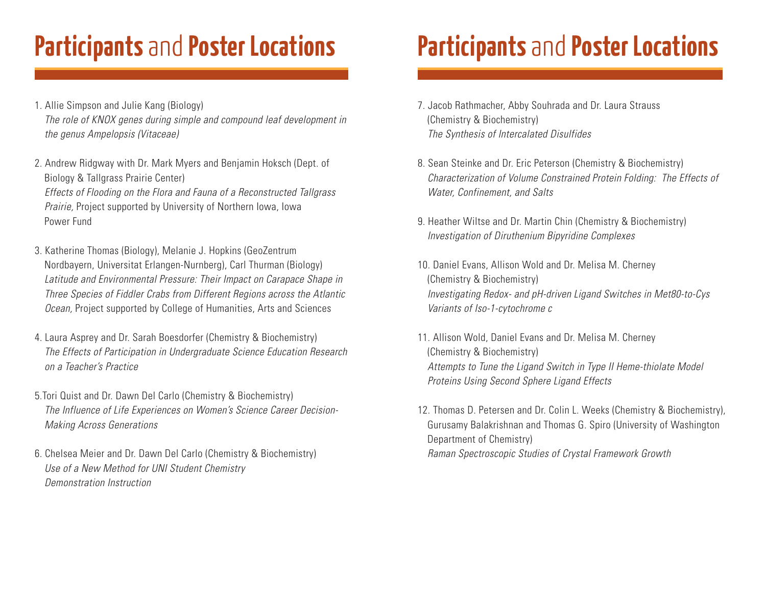# **Participants** and **Poster Locations**

- 1. Allie Simpson and Julie Kang (Biology) *The role of KNOX genes during simple and compound leaf development in the genus Ampelopsis (Vitaceae)*
- 2. Andrew Ridgway with Dr. Mark Myers and Benjamin Hoksch (Dept. of Biology & Tallgrass Prairie Center) *Effects of Flooding on the Flora and Fauna of a Reconstructed Tallgrass Prairie,* Project supported by University of Northern Iowa, Iowa Power Fund
- 3. Katherine Thomas (Biology), Melanie J. Hopkins (GeoZentrum Nordbayern, Universitat Erlangen-Nurnberg), Carl Thurman (Biology) *Latitude and Environmental Pressure: Their Impact on Carapace Shape in Three Species of Fiddler Crabs from Different Regions across the Atlantic Ocean,* Project supported by College of Humanities, Arts and Sciences
- 4. Laura Asprey and Dr. Sarah Boesdorfer (Chemistry & Biochemistry) *The Effects of Participation in Undergraduate Science Education Research on a Teacher's Practice*
- 5.Tori Quist and Dr. Dawn Del Carlo (Chemistry & Biochemistry) *The Influence of Life Experiences on Women's Science Career Decision-Making Across Generations*
- 6. Chelsea Meier and Dr. Dawn Del Carlo (Chemistry & Biochemistry) *Use of a New Method for UNI Student Chemistry Demonstration Instruction*

# **Participants** and **Poster Locations**

- 7. Jacob Rathmacher, Abby Souhrada and Dr. Laura Strauss (Chemistry & Biochemistry) *The Synthesis of Intercalated Disulfides*
- 8. Sean Steinke and Dr. Eric Peterson (Chemistry & Biochemistry) *Characterization of Volume Constrained Protein Folding: The Effects of Water, Confinement, and Salts*
- 9. Heather Wiltse and Dr. Martin Chin (Chemistry & Biochemistry) *Investigation of Diruthenium Bipyridine Complexes*
- 10. Daniel Evans, Allison Wold and Dr. Melisa M. Cherney (Chemistry & Biochemistry) *Investigating Redox- and pH-driven Ligand Switches in Met80-to-Cys Variants of Iso-1-cytochrome c*
- 11. Allison Wold, Daniel Evans and Dr. Melisa M. Cherney (Chemistry & Biochemistry) *Attempts to Tune the Ligand Switch in Type II Heme-thiolate Model Proteins Using Second Sphere Ligand Effects*
- 12. Thomas D. Petersen and Dr. Colin L. Weeks (Chemistry & Biochemistry), Gurusamy Balakrishnan and Thomas G. Spiro (University of Washington Department of Chemistry) *Raman Spectroscopic Studies of Crystal Framework Growth*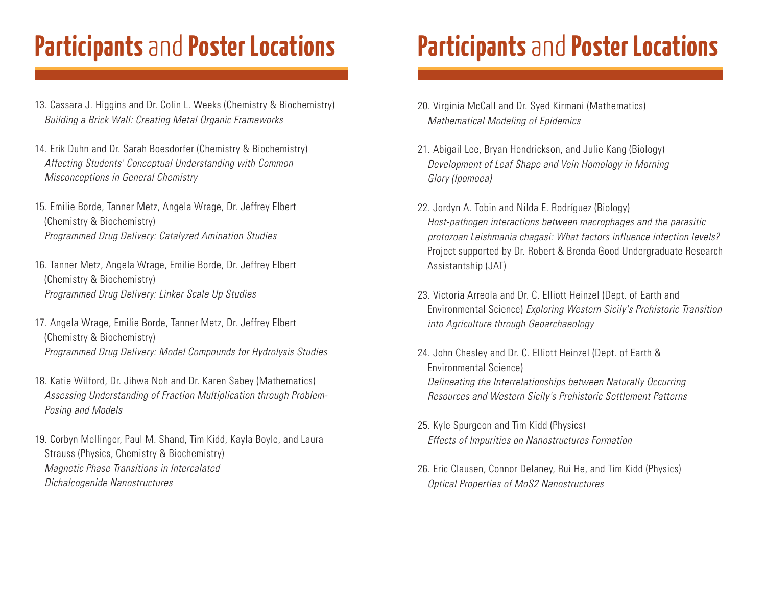# **Participants** and **Poster Locations**

- 13. Cassara J. Higgins and Dr. Colin L. Weeks (Chemistry & Biochemistry) *Building a Brick Wall: Creating Metal Organic Frameworks*
- 14. Erik Duhn and Dr. Sarah Boesdorfer (Chemistry & Biochemistry) *Affecting Students' Conceptual Understanding with Common Misconceptions in General Chemistry*

15. Emilie Borde, Tanner Metz, Angela Wrage, Dr. Jeffrey Elbert (Chemistry & Biochemistry) *Programmed Drug Delivery: Catalyzed Amination Studies*

- 16. Tanner Metz, Angela Wrage, Emilie Borde, Dr. Jeffrey Elbert (Chemistry & Biochemistry) *Programmed Drug Delivery: Linker Scale Up Studies*
- 17. Angela Wrage, Emilie Borde, Tanner Metz, Dr. Jeffrey Elbert (Chemistry & Biochemistry) *Programmed Drug Delivery: Model Compounds for Hydrolysis Studies*
- 18. Katie Wilford, Dr. Jihwa Noh and Dr. Karen Sabey (Mathematics) *Assessing Understanding of Fraction Multiplication through Problem-Posing and Models*
- 19. Corbyn Mellinger, Paul M. Shand, Tim Kidd, Kayla Boyle, and Laura Strauss (Physics, Chemistry & Biochemistry) *Magnetic Phase Transitions in Intercalated Dichalcogenide Nanostructures*

# **Participants** and **Poster Locations**

- 20. Virginia McCall and Dr. Syed Kirmani (Mathematics) *Mathematical Modeling of Epidemics*
- 21. Abigail Lee, Bryan Hendrickson, and Julie Kang (Biology) *Development of Leaf Shape and Vein Homology in Morning Glory (Ipomoea)*
- 22. Jordyn A. Tobin and Nilda E. Rodríguez (Biology) *Host-pathogen interactions between macrophages and the parasitic protozoan Leishmania chagasi: What factors influence infection levels?* Project supported by Dr. Robert & Brenda Good Undergraduate Research Assistantship (JAT)
- 23. Victoria Arreola and Dr. C. Elliott Heinzel (Dept. of Earth and Environmental Science) *Exploring Western Sicily's Prehistoric Transition into Agriculture through Geoarchaeology*
- 24. John Chesley and Dr. C. Elliott Heinzel (Dept. of Earth & Environmental Science) *Delineating the Interrelationships between Naturally Occurring Resources and Western Sicily's Prehistoric Settlement Patterns*
- 25. Kyle Spurgeon and Tim Kidd (Physics) *Effects of Impurities on Nanostructures Formation*
- 26. Eric Clausen, Connor Delaney, Rui He, and Tim Kidd (Physics) *Optical Properties of MoS2 Nanostructures*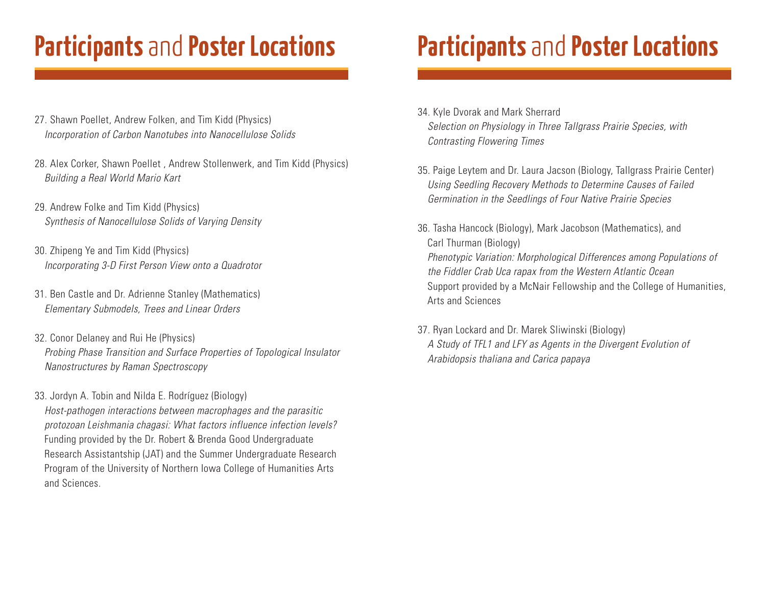## **Participants** and **Poster Locations Participants** and **Poster Locations**

- 27. Shawn Poellet, Andrew Folken, and Tim Kidd (Physics) *Incorporation of Carbon Nanotubes into Nanocellulose Solids*
- 28. Alex Corker, Shawn Poellet , Andrew Stollenwerk, and Tim Kidd (Physics) *Building a Real World Mario Kart*
- 29. Andrew Folke and Tim Kidd (Physics) *Synthesis of Nanocellulose Solids of Varying Density*
- 30. Zhipeng Ye and Tim Kidd (Physics) *Incorporating 3-D First Person View onto a Quadrotor*
- 31. Ben Castle and Dr. Adrienne Stanley (Mathematics) *Elementary Submodels, Trees and Linear Orders*
- 32. Conor Delaney and Rui He (Physics) *Probing Phase Transition and Surface Properties of Topological Insulator Nanostructures by Raman Spectroscopy*
- 33. Jordyn A. Tobin and Nilda E. Rodríguez (Biology)

*Host-pathogen interactions between macrophages and the parasitic protozoan Leishmania chagasi: What factors influence infection levels?* Funding provided by the Dr. Robert & Brenda Good Undergraduate Research Assistantship (JAT) and the Summer Undergraduate Research Program of the University of Northern Iowa College of Humanities Arts and Sciences.

- 34. Kyle Dvorak and Mark Sherrard *Selection on Physiology in Three Tallgrass Prairie Species, with Contrasting Flowering Times*
- 35. Paige Leytem and Dr. Laura Jacson (Biology, Tallgrass Prairie Center) *Using Seedling Recovery Methods to Determine Causes of Failed Germination in the Seedlings of Four Native Prairie Species*
- 36. Tasha Hancock (Biology), Mark Jacobson (Mathematics), and Carl Thurman (Biology) *Phenotypic Variation: Morphological Differences among Populations of the Fiddler Crab Uca rapax from the Western Atlantic Ocean*  Support provided by a McNair Fellowship and the College of Humanities, Arts and Sciences
- 37. Ryan Lockard and Dr. Marek Sliwinski (Biology) *A Study of TFL1 and LFY as Agents in the Divergent Evolution of Arabidopsis thaliana and Carica papaya*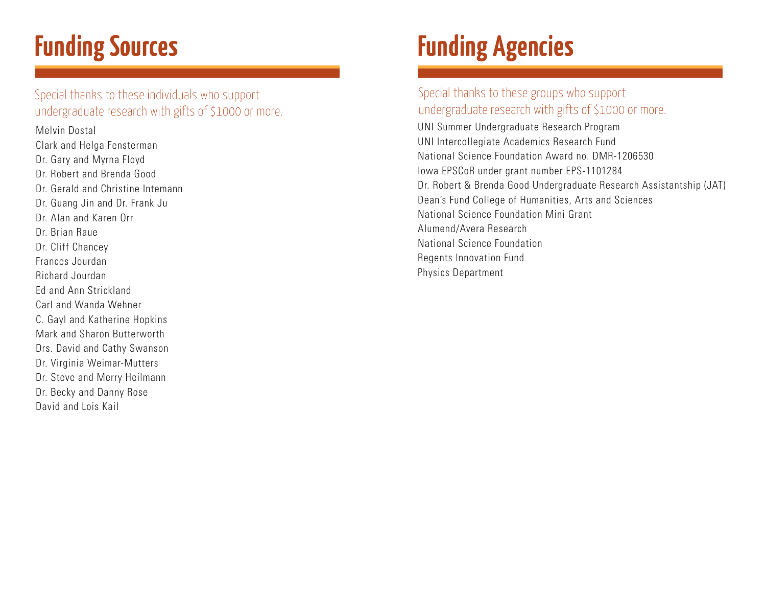# **Funding Sources**

Special thanks to these individuals who support undergraduate research with gifts of \$1000 or more.

Melvin Dostal Clark and Helga Fensterman Dr. Gary and Myrna Floyd Dr. Robert and Brenda Good Dr. Gerald and Christine Intemann Dr. Guang Jin and Dr. Frank Ju Dr. Alan and Karen Orr Dr. Brian Raue Dr. Cliff Chancey Frances Jourdan Richard Jourdan Ed and Ann Strickland Carl and Wanda Wehner C. Gayl and Katherine Hopkins Mark and Sharon Butterworth Drs. David and Cathy Swanson Dr. Virginia Weimar-Mutters Dr. Steve and Merry Heilmann Dr. Becky and Danny Rose David and Lois Kail

# **Funding Agencies**

#### Special thanks to these groups who support undergraduate research with gifts of \$1000 or more.

UNI Summer Undergraduate Research Program UNI Intercollegiate Academics Research Fund National Science Foundation Award no. DMR-1206530 Iowa EPSCoR under grant number EPS-1101284 Dr. Robert & Brenda Good Undergraduate Research Assistantship (JAT) Dean's Fund College of Humanities, Arts and Sciences National Science Foundation Mini Grant Alumend/Avera Research National Science Foundation Regents Innovation Fund Physics Department